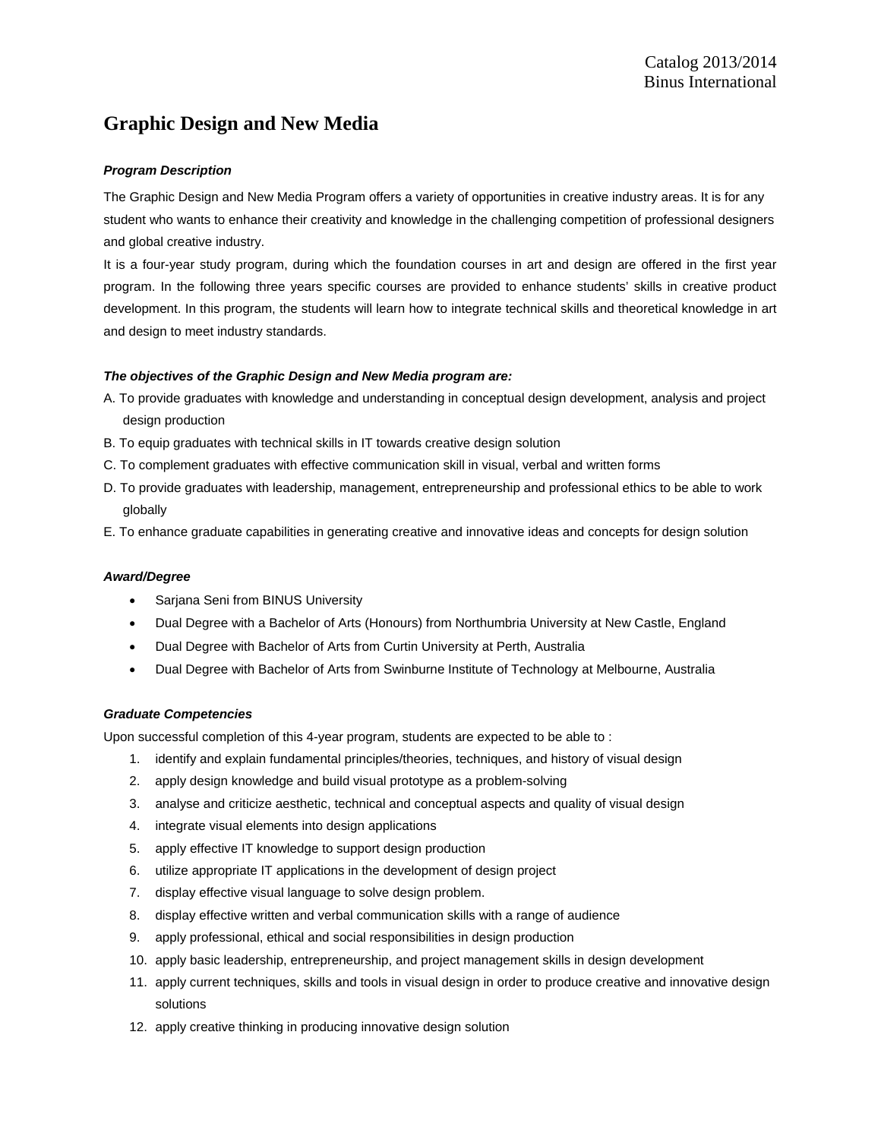# **Graphic Design and New Media**

### *Program Description*

The Graphic Design and New Media Program offers a variety of opportunities in creative industry areas. It is for any student who wants to enhance their creativity and knowledge in the challenging competition of professional designers and global creative industry.

It is a four-year study program, during which the foundation courses in art and design are offered in the first year program. In the following three years specific courses are provided to enhance students' skills in creative product development. In this program, the students will learn how to integrate technical skills and theoretical knowledge in art and design to meet industry standards.

### *The objectives of the Graphic Design and New Media program are:*

- A. To provide graduates with knowledge and understanding in conceptual design development, analysis and project design production
- B. To equip graduates with technical skills in IT towards creative design solution
- C. To complement graduates with effective communication skill in visual, verbal and written forms
- D. To provide graduates with leadership, management, entrepreneurship and professional ethics to be able to work globally
- E. To enhance graduate capabilities in generating creative and innovative ideas and concepts for design solution

### *Award/Degree*

- Sarjana Seni from BINUS University
- Dual Degree with a Bachelor of Arts (Honours) from Northumbria University at New Castle, England
- Dual Degree with Bachelor of Arts from Curtin University at Perth, Australia
- Dual Degree with Bachelor of Arts from Swinburne Institute of Technology at Melbourne, Australia

### *Graduate Competencies*

Upon successful completion of this 4-year program, students are expected to be able to :

- 1. identify and explain fundamental principles/theories, techniques, and history of visual design
- 2. apply design knowledge and build visual prototype as a problem-solving
- 3. analyse and criticize aesthetic, technical and conceptual aspects and quality of visual design
- 4. integrate visual elements into design applications
- 5. apply effective IT knowledge to support design production
- 6. utilize appropriate IT applications in the development of design project
- 7. display effective visual language to solve design problem.
- 8. display effective written and verbal communication skills with a range of audience
- 9. apply professional, ethical and social responsibilities in design production
- 10. apply basic leadership, entrepreneurship, and project management skills in design development
- 11. apply current techniques, skills and tools in visual design in order to produce creative and innovative design solutions
- 12. apply creative thinking in producing innovative design solution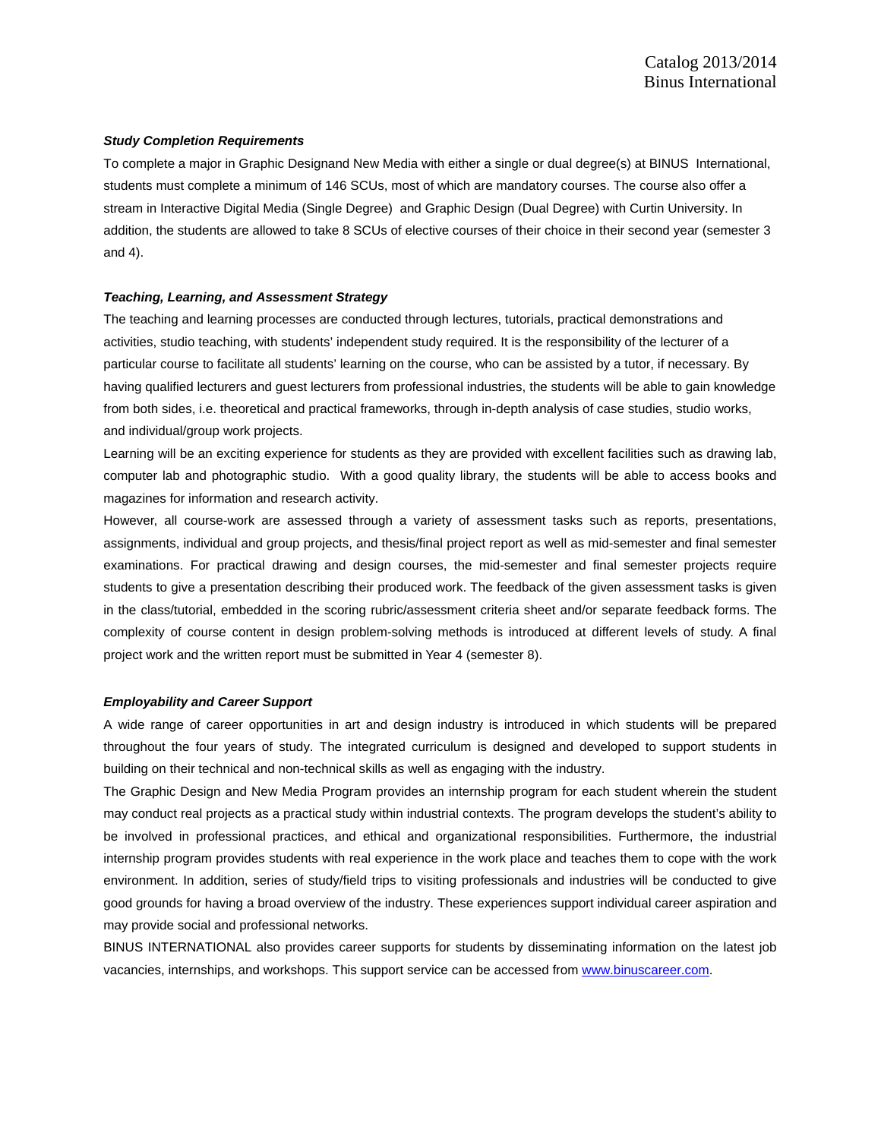#### *Study Completion Requirements*

To complete a major in Graphic Designand New Media with either a single or dual degree(s) at BINUS International, students must complete a minimum of 146 SCUs, most of which are mandatory courses. The course also offer a stream in Interactive Digital Media (Single Degree) and Graphic Design (Dual Degree) with Curtin University. In addition, the students are allowed to take 8 SCUs of elective courses of their choice in their second year (semester 3 and 4).

#### *Teaching, Learning, and Assessment Strategy*

The teaching and learning processes are conducted through lectures, tutorials, practical demonstrations and activities, studio teaching, with students' independent study required. It is the responsibility of the lecturer of a particular course to facilitate all students' learning on the course, who can be assisted by a tutor, if necessary. By having qualified lecturers and guest lecturers from professional industries, the students will be able to gain knowledge from both sides, i.e. theoretical and practical frameworks, through in-depth analysis of case studies, studio works, and individual/group work projects.

Learning will be an exciting experience for students as they are provided with excellent facilities such as drawing lab, computer lab and photographic studio. With a good quality library, the students will be able to access books and magazines for information and research activity.

However, all course-work are assessed through a variety of assessment tasks such as reports, presentations, assignments, individual and group projects, and thesis/final project report as well as mid-semester and final semester examinations. For practical drawing and design courses, the mid-semester and final semester projects require students to give a presentation describing their produced work. The feedback of the given assessment tasks is given in the class/tutorial, embedded in the scoring rubric/assessment criteria sheet and/or separate feedback forms. The complexity of course content in design problem-solving methods is introduced at different levels of study. A final project work and the written report must be submitted in Year 4 (semester 8).

#### *Employability and Career Support*

A wide range of career opportunities in art and design industry is introduced in which students will be prepared throughout the four years of study. The integrated curriculum is designed and developed to support students in building on their technical and non-technical skills as well as engaging with the industry.

The Graphic Design and New Media Program provides an internship program for each student wherein the student may conduct real projects as a practical study within industrial contexts. The program develops the student's ability to be involved in professional practices, and ethical and organizational responsibilities. Furthermore, the industrial internship program provides students with real experience in the work place and teaches them to cope with the work environment. In addition, series of study/field trips to visiting professionals and industries will be conducted to give good grounds for having a broad overview of the industry. These experiences support individual career aspiration and may provide social and professional networks.

BINUS INTERNATIONAL also provides career supports for students by disseminating information on the latest job vacancies, internships, and workshops. This support service can be accessed from www.binuscareer.com.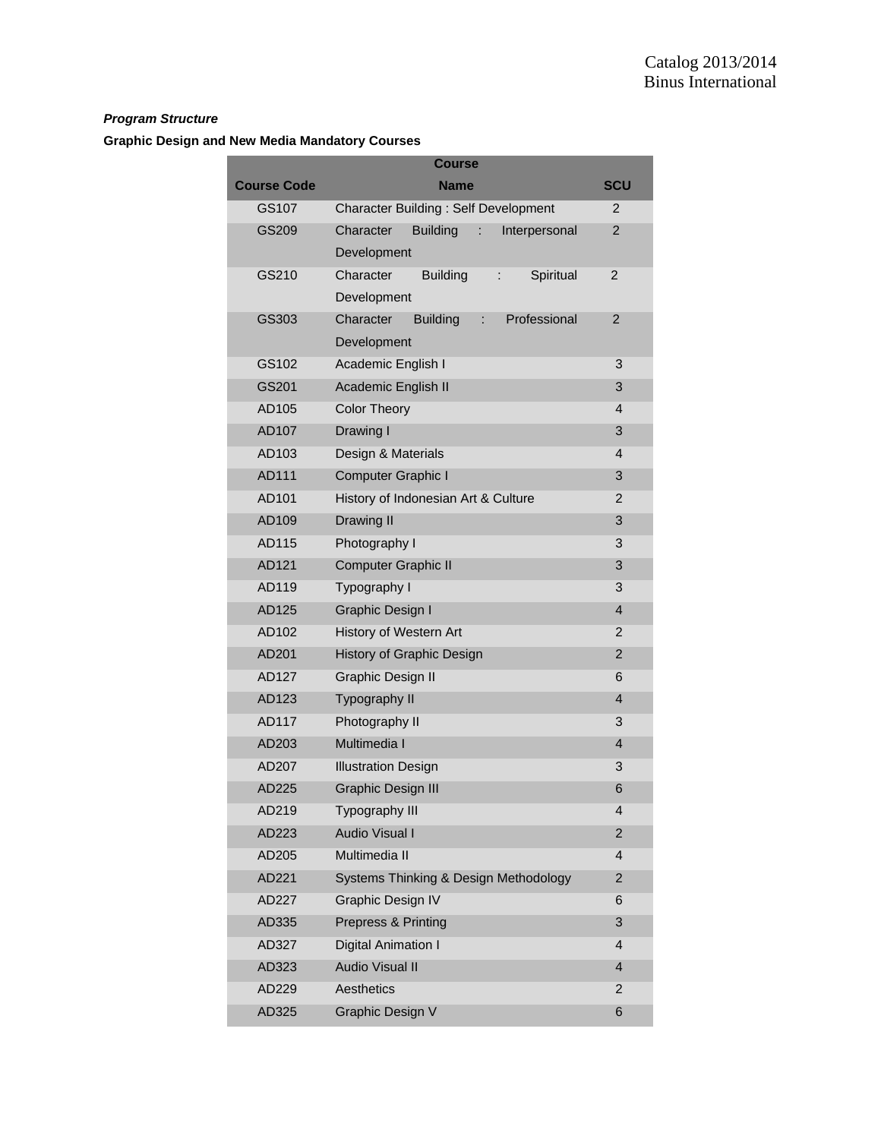## *Program Structure*

## **Graphic Design and New Media Mandatory Courses**

|                    | <b>Course</b>                                       |                |
|--------------------|-----------------------------------------------------|----------------|
| <b>Course Code</b> | <b>Name</b>                                         | <b>SCU</b>     |
| GS107              | <b>Character Building: Self Development</b>         | 2              |
| GS209              | Character<br><b>Building</b><br>÷.<br>Interpersonal | 2              |
|                    | Development                                         |                |
| GS210              | Character<br>Spiritual<br><b>Building</b><br>÷.     | 2              |
|                    | Development                                         |                |
| GS303              | Character<br><b>Building</b><br>Professional<br>÷   | 2              |
|                    | Development                                         |                |
| GS102              | Academic English I                                  | 3              |
| GS201              | Academic English II                                 | 3              |
| AD105              | <b>Color Theory</b>                                 | 4              |
| AD107              | Drawing I                                           | 3              |
| AD103              | Design & Materials                                  | 4              |
| AD111              | Computer Graphic I                                  | 3              |
| AD101              | History of Indonesian Art & Culture                 | 2              |
| AD109              | Drawing II                                          | 3              |
| AD115              | Photography I                                       | 3              |
| AD121              | <b>Computer Graphic II</b>                          | 3              |
| AD119              | Typography I                                        | 3              |
| AD125              | <b>Graphic Design I</b>                             | 4              |
| AD102              | History of Western Art                              | 2              |
| AD201              | History of Graphic Design                           | $\overline{2}$ |
| AD127              | <b>Graphic Design II</b>                            | 6              |
| AD123              | Typography II                                       | 4              |
| AD117              | Photography II                                      | 3              |
| AD203              | Multimedia I                                        | $\overline{4}$ |
| AD207              | <b>Illustration Design</b>                          | 3              |
| AD225              | <b>Graphic Design III</b>                           | 6              |
| AD219              | Typography III                                      | 4              |
| AD223              | <b>Audio Visual I</b>                               | 2              |
| AD205              | Multimedia II                                       | 4              |
| AD221              | Systems Thinking & Design Methodology               | $\overline{2}$ |
| AD227              | <b>Graphic Design IV</b>                            | 6              |
| AD335              | Prepress & Printing                                 | 3              |
| AD327              | Digital Animation I                                 | 4              |
| AD323              | <b>Audio Visual II</b>                              | 4              |
| AD229              | Aesthetics                                          | 2              |
| AD325              | Graphic Design V                                    | 6              |